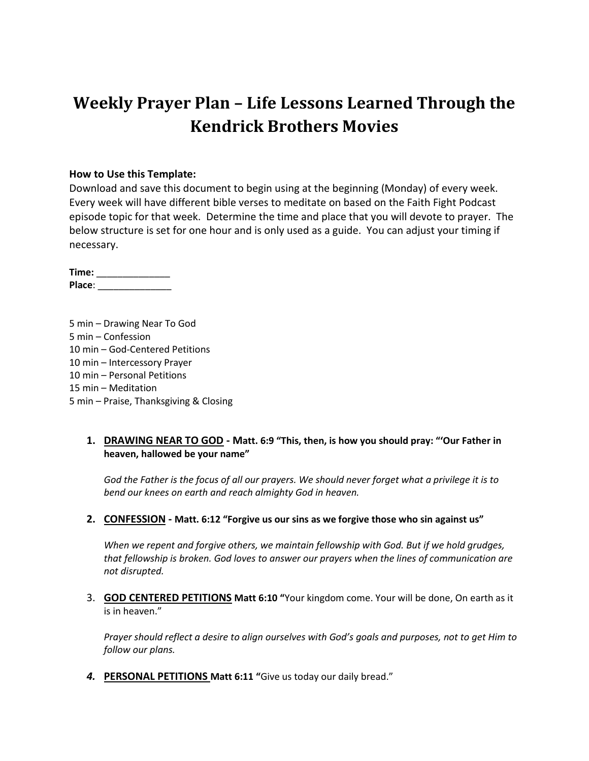# **Weekly Prayer Plan – Life Lessons Learned Through the Kendrick Brothers Movies**

### **How to Use this Template:**

Download and save this document to begin using at the beginning (Monday) of every week. Every week will have different bible verses to meditate on based on the Faith Fight Podcast episode topic for that week. Determine the time and place that you will devote to prayer. The below structure is set for one hour and is only used as a guide. You can adjust your timing if necessary.

**Time:** \_\_\_\_\_\_\_\_\_\_\_\_\_\_ **Place**: \_\_\_\_\_\_\_\_\_\_\_\_\_\_

5 min – Drawing Near To God 5 min – Confession 10 min – God-Centered Petitions 10 min – Intercessory Prayer 10 min – Personal Petitions 15 min – Meditation 5 min – Praise, Thanksgiving & Closing

### **1. DRAWING NEAR TO GOD - Matt. 6:9 "This, then, is how you should pray: "'Our Father in heaven, hallowed be your name"**

*God the Father is the focus of all our prayers. We should never forget what a privilege it is to bend our knees on earth and reach almighty God in heaven.*

### **2. CONFESSION - Matt. 6:12 "Forgive us our sins as we forgive those who sin against us"**

*When we repent and forgive others, we maintain fellowship with God. But if we hold grudges, that fellowship is broken. God loves to answer our prayers when the lines of communication are not disrupted.*

3. **GOD CENTERED PETITIONS Matt 6:10 "**Your kingdom come. Your will be done, On earth as it is in heaven."

*Prayer should reflect a desire to align ourselves with God's goals and purposes, not to get Him to follow our plans.*

*4.* **PERSONAL PETITIONS Matt 6:11 "**Give us today our daily bread."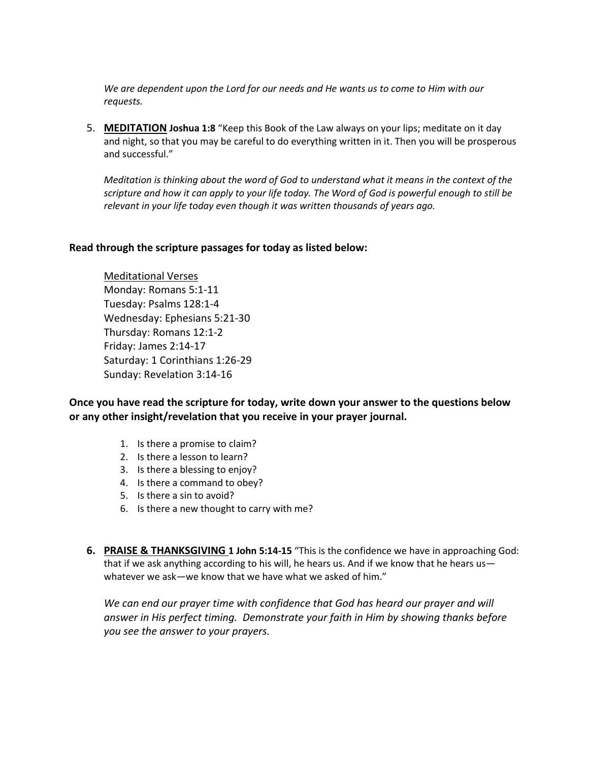*We are dependent upon the Lord for our needs and He wants us to come to Him with our requests.*

5. **MEDITATION Joshua 1:8** "Keep this Book of the Law always on your lips; meditate on it day and night, so that you may be careful to do everything written in it. Then you will be prosperous and successful."

*Meditation is thinking about the word of God to understand what it means in the context of the scripture and how it can apply to your life today. The Word of God is powerful enough to still be relevant in your life today even though it was written thousands of years ago.*

#### **Read through the scripture passages for today as listed below:**

Meditational Verses Monday: Romans 5:1-11 Tuesday: Psalms 128:1-4 Wednesday: Ephesians 5:21-30 Thursday: Romans 12:1-2 Friday: James 2:14-17 Saturday: 1 Corinthians 1:26-29 Sunday: Revelation 3:14-16

**Once you have read the scripture for today, write down your answer to the questions below or any other insight/revelation that you receive in your prayer journal.** 

- 1. Is there a promise to claim?
- 2. Is there a lesson to learn?
- 3. Is there a blessing to enjoy?
- 4. Is there a command to obey?
- 5. Is there a sin to avoid?
- 6. Is there a new thought to carry with me?
- **6. PRAISE & THANKSGIVING 1 John 5:14-15** "This is the confidence we have in approaching God: that if we ask anything according to his will, he hears us. And if we know that he hears us whatever we ask—we know that we have what we asked of him."

*We can end our prayer time with confidence that God has heard our prayer and will answer in His perfect timing. Demonstrate your faith in Him by showing thanks before you see the answer to your prayers.*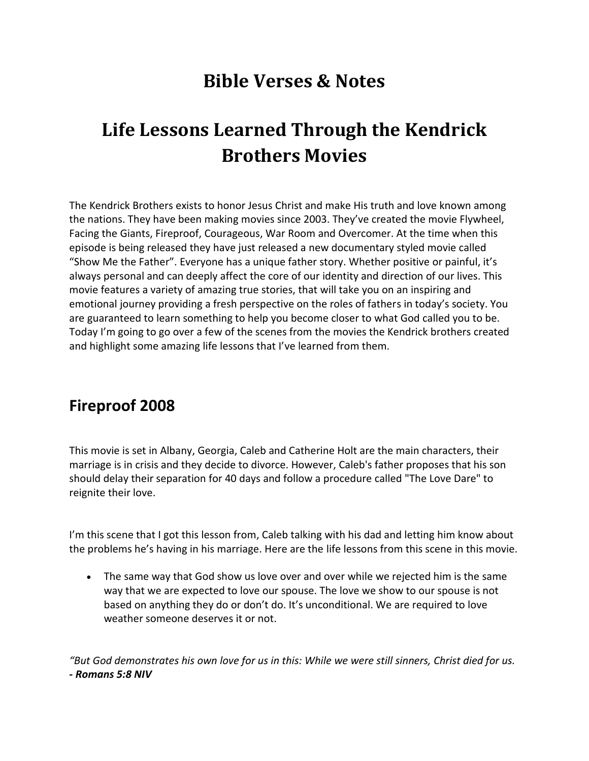## **Bible Verses & Notes**

# **Life Lessons Learned Through the Kendrick Brothers Movies**

The Kendrick Brothers exists to honor Jesus Christ and make His truth and love known among the nations. They have been making movies since 2003. They've created the movie Flywheel, Facing the Giants, Fireproof, Courageous, War Room and Overcomer. At the time when this episode is being released they have just released a new documentary styled movie called "Show Me the Father". Everyone has a unique father story. Whether positive or painful, it's always personal and can deeply affect the core of our identity and direction of our lives. This movie features a variety of amazing true stories, that will take you on an inspiring and emotional journey providing a fresh perspective on the roles of fathers in today's society. You are guaranteed to learn something to help you become closer to what God called you to be. Today I'm going to go over a few of the scenes from the movies the Kendrick brothers created and highlight some amazing life lessons that I've learned from them.

## **Fireproof 2008**

This movie is set in Albany, Georgia, Caleb and Catherine Holt are the main characters, their marriage is in crisis and they decide to divorce. However, Caleb's father proposes that his son should delay their separation for 40 days and follow a procedure called "The Love Dare" to reignite their love.

I'm this scene that I got this lesson from, Caleb talking with his dad and letting him know about the problems he's having in his marriage. Here are the life lessons from this scene in this movie.

 The same way that God show us love over and over while we rejected him is the same way that we are expected to love our spouse. The love we show to our spouse is not based on anything they do or don't do. It's unconditional. We are required to love weather someone deserves it or not.

*"But God demonstrates his own love for us in this: While we were still sinners, Christ died for us. - Romans 5:8 NIV*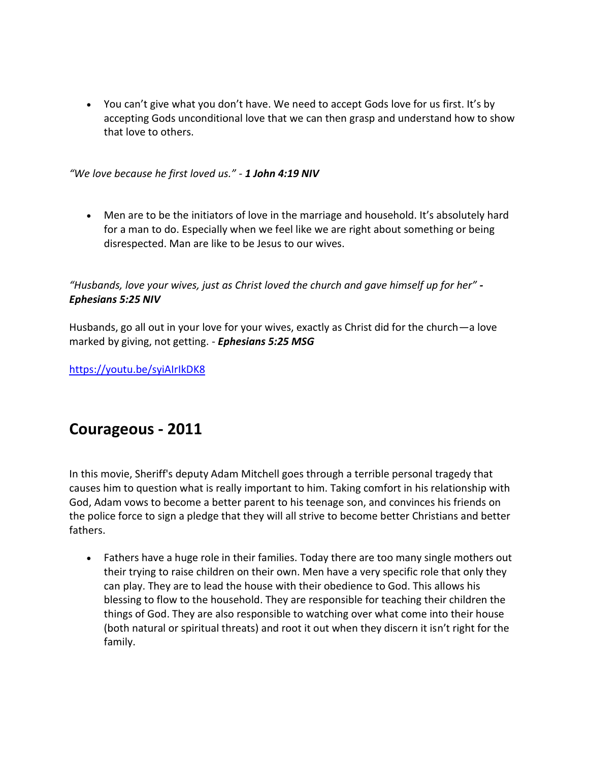You can't give what you don't have. We need to accept Gods love for us first. It's by accepting Gods unconditional love that we can then grasp and understand how to show that love to others.

*"We love because he first loved us." - 1 John 4:19 NIV*

 Men are to be the initiators of love in the marriage and household. It's absolutely hard for a man to do. Especially when we feel like we are right about something or being disrespected. Man are like to be Jesus to our wives.

*"Husbands, love your wives, just as Christ loved the church and gave himself up for her" - Ephesians 5:25 NIV*

Husbands, go all out in your love for your wives, exactly as Christ did for the church—a love marked by giving, not getting. - *Ephesians 5:25 MSG*

<https://youtu.be/syiAIrIkDK8>

### **Courageous - 2011**

In this movie, Sheriff's deputy Adam Mitchell goes through a terrible personal tragedy that causes him to question what is really important to him. Taking comfort in his relationship with God, Adam vows to become a better parent to his teenage son, and convinces his friends on the police force to sign a pledge that they will all strive to become better Christians and better fathers.

• Fathers have a huge role in their families. Today there are too many single mothers out their trying to raise children on their own. Men have a very specific role that only they can play. They are to lead the house with their obedience to God. This allows his blessing to flow to the household. They are responsible for teaching their children the things of God. They are also responsible to watching over what come into their house (both natural or spiritual threats) and root it out when they discern it isn't right for the family.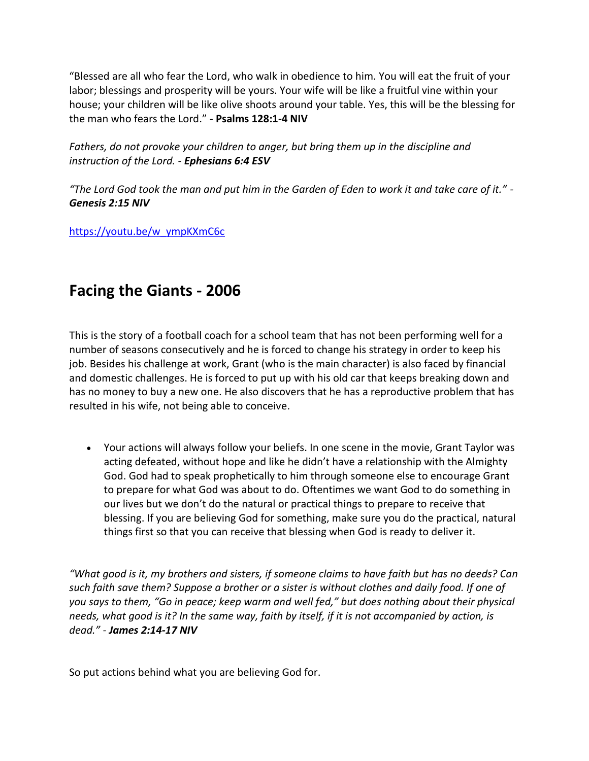"Blessed are all who fear the Lord, who walk in obedience to him. You will eat the fruit of your labor; blessings and prosperity will be yours. Your wife will be like a fruitful vine within your house; your children will be like olive shoots around your table. Yes, this will be the blessing for the man who fears the Lord." - **Psalms 128:1-4 NIV**

*Fathers, do not provoke your children to anger, but bring them up in the discipline and instruction of the Lord. - Ephesians 6:4 ESV*

*"The Lord God took the man and put him in the Garden of Eden to work it and take care of it." - Genesis 2:15 NIV*

[https://youtu.be/w\\_ympKXmC6c](https://youtu.be/w_ympKXmC6c)

## **Facing the Giants - 2006**

This is the story of a football coach for a school team that has not been performing well for a number of seasons consecutively and he is forced to change his strategy in order to keep his job. Besides his challenge at work, Grant (who is the main character) is also faced by financial and domestic challenges. He is forced to put up with his old car that keeps breaking down and has no money to buy a new one. He also discovers that he has a reproductive problem that has resulted in his wife, not being able to conceive.

 Your actions will always follow your beliefs. In one scene in the movie, Grant Taylor was acting defeated, without hope and like he didn't have a relationship with the Almighty God. God had to speak prophetically to him through someone else to encourage Grant to prepare for what God was about to do. Oftentimes we want God to do something in our lives but we don't do the natural or practical things to prepare to receive that blessing. If you are believing God for something, make sure you do the practical, natural things first so that you can receive that blessing when God is ready to deliver it.

*"What good is it, my brothers and sisters, if someone claims to have faith but has no deeds? Can such faith save them? Suppose a brother or a sister is without clothes and daily food. If one of you says to them, "Go in peace; keep warm and well fed," but does nothing about their physical needs, what good is it? In the same way, faith by itself, if it is not accompanied by action, is dead." - James 2:14-17 NIV*

So put actions behind what you are believing God for.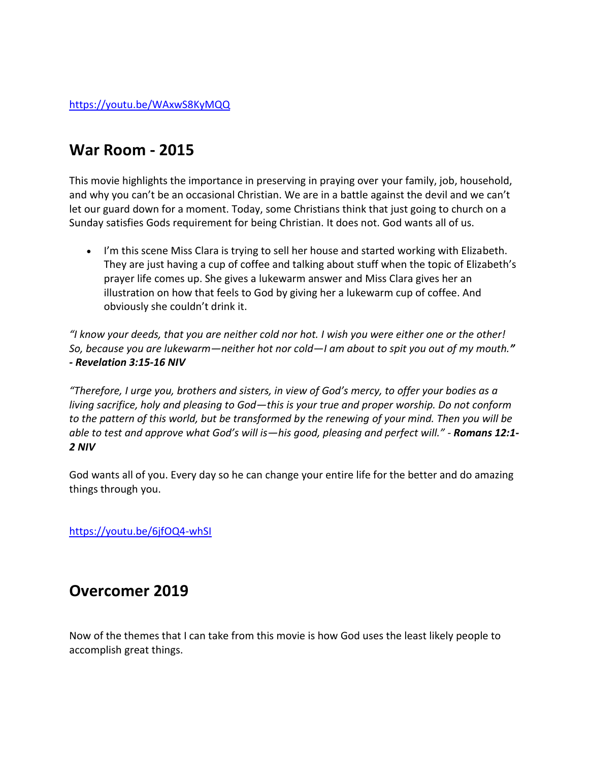## **War Room - 2015**

This movie highlights the importance in preserving in praying over your family, job, household, and why you can't be an occasional Christian. We are in a battle against the devil and we can't let our guard down for a moment. Today, some Christians think that just going to church on a Sunday satisfies Gods requirement for being Christian. It does not. God wants all of us.

• I'm this scene Miss Clara is trying to sell her house and started working with Elizabeth. They are just having a cup of coffee and talking about stuff when the topic of Elizabeth's prayer life comes up. She gives a lukewarm answer and Miss Clara gives her an illustration on how that feels to God by giving her a lukewarm cup of coffee. And obviously she couldn't drink it.

*"I know your deeds, that you are neither cold nor hot. I wish you were either one or the other! So, because you are lukewarm—neither hot nor cold—I am about to spit you out of my mouth." - Revelation 3:15-16 NIV*

*"Therefore, I urge you, brothers and sisters, in view of God's mercy, to offer your bodies as a living sacrifice, holy and pleasing to God—this is your true and proper worship. Do not conform to the pattern of this world, but be transformed by the renewing of your mind. Then you will be able to test and approve what God's will is—his good, pleasing and perfect will." - Romans 12:1- 2 NIV*

God wants all of you. Every day so he can change your entire life for the better and do amazing things through you.

<https://youtu.be/6jfOQ4-whSI>

## **Overcomer 2019**

Now of the themes that I can take from this movie is how God uses the least likely people to accomplish great things.